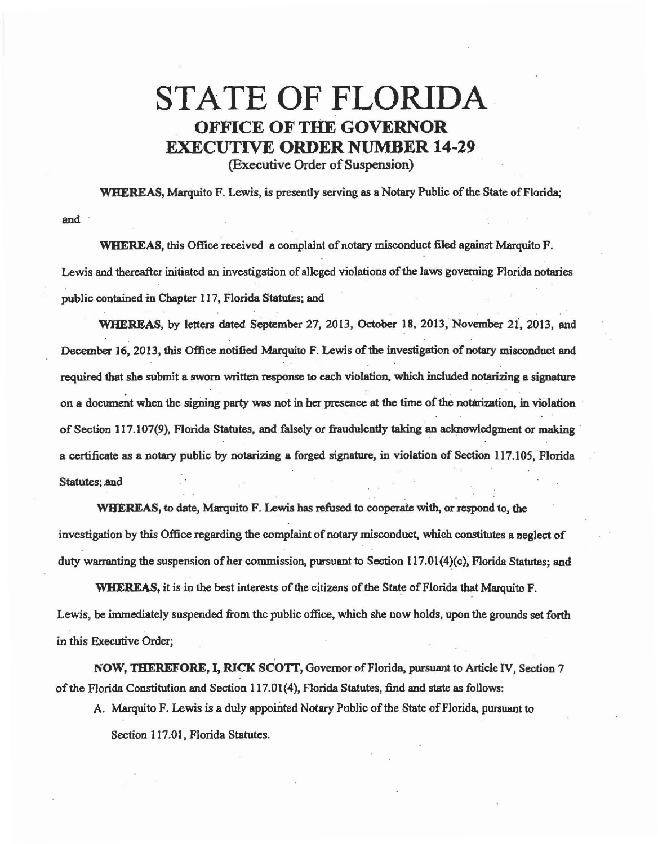## STATE OF FLORIDA EXECUTIVE ORDER NUMBER 14-29

(Executive Order of Suspension)

WHEREAS, Marquito F. Lewis, is presently serving as a Notary Public of the State of Florida;

and

WHEREAS, this Office received a complaint of notary misconduct filed against Marquito F. Lewis and thereafter initiated an investigation of alleged violations of the laws governing Florida notaries public contained in Chapter 117, Florida Statutes; and

WHEREAS, by letters dated September 27, 2013, October 18, 2013, November 21, 2013, and December 16, 2013, this Office notified Marquito F. Lewis of the investigation of notary misconduct and required that she submit a sworn written response to each violation, which included notarizing a signature on a document when the signing party was not in her presence at the time of the notarization, in violation of Section 117.107(9), Florida Statutes, and falsely or fraudulently taking an acknowledgment or making · a certificate as a notary public by notarizing a forged signature, in violation of Section 117.105, Florida Statutes; and

WHEREAS, to date, Marquito F. Lewis has refused to cooperate with, or respond to, the investigation by this Office regarding the complaint of notary misconduct, which constitutes a neglect of duty warranting the suspension of her commission, pursuant to Section 117.01(4)(c), Florida Statutes; and

WHEREAS, it is in the best interests of the citizens of the State of Florida that Marquito F. Lewis, be immediately suspended from the public office, which she now holds, upon the grounds set forth in this Executive Order;

NOW, THEREFORE, I, RICK SCOTI, Governor of Florida, pursuant to Article IV, Section 7 of the Florida Constitution and Section 117.01{4), Florida Statutes, find and state as follows:

A. Marquito F. Lewis is a duly appointed Notary Public of the State of Florida, pursuant to

Section 117.01, Florida Statutes.